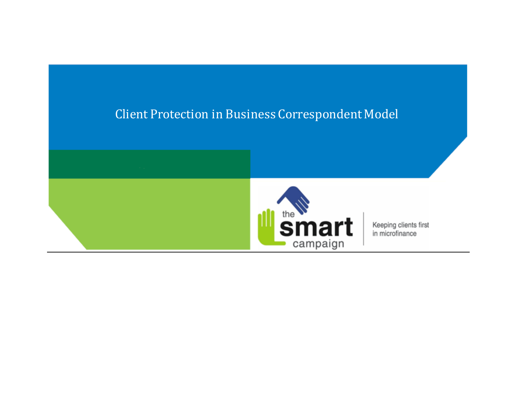# Client Protection in Business Correspondent Model



Keeping clients first in microfinance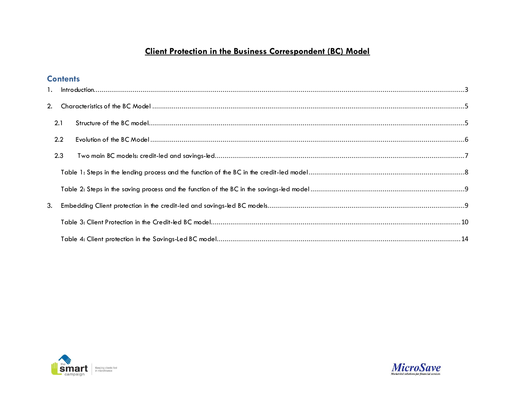## **Client Protection in the Business Correspondent (BC) Model**

## **Contents**

|    | 2.1 |  |
|----|-----|--|
|    | 2.2 |  |
|    | 2.3 |  |
|    |     |  |
|    |     |  |
| 3. |     |  |
|    |     |  |
|    |     |  |



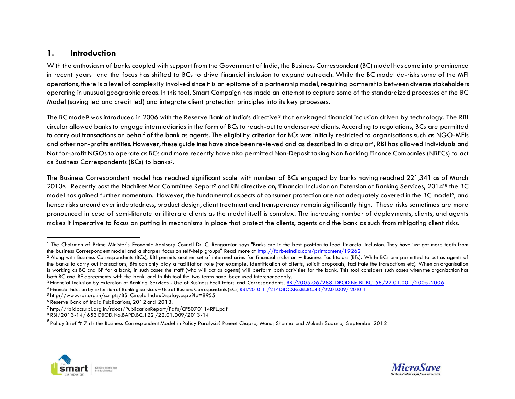## <span id="page-2-0"></span>**1. Introduction**

With the enthusiasm of banks coupled with support from the Government of India, the Business Correspondent (BC) model has come into prominence in recent years<sup>1</sup> and the focus has shifted to BCs to drive financial inclusion to expand outreach. While the BC model de-risks some of the MFI operations, there is a level of complexity involved since it is an epitome of a partnership model, requiring partnership between diverse stakeholders operating in unusual geographic areas. In this tool, Smart Campaign has made an attempt to capture some of the standardized processes of the BC Model (saving led and credit led) and integrate client protection principles into its key processes.

The BC model<sup>2</sup> was introduced in 2006 with the Reserve Bank of India's directive<sup>3</sup> that envisaged financial inclusion driven by technology. The RBI circular allowed banks to engage intermediaries in the form of BCs to reach-out to underserved clients. According to regulations, BCs are permitted to carry out transactions on behalf of the bank as agents. The eligibility criterion for BCs was initially restricted to organisations such as NGO-MFIs and other non-profits entities. However, these guidelines have since been reviewed and as described in a circular4, RBI has allowed individuals and Not for-profit NGOs to operate as BCs and more recently have also permitted Non-Deposit taking Non Banking Finance Companies (NBFCs) to act as Business Correspondents (BCs) to banks5.

The Business Correspondent model has reached significant scale with number of BCs engaged by banks having reached 221,341 as of March 20136. Recently post the Nachiket Mor Committee Report<sup>7</sup> and RBI directive on, 'Financial Inclusion on Extension of Banking Services, 2014'<sup>8</sup> the BC model has gained further momentum. However, the fundamental aspects of consumer protection are not adequately covered in the BC model9, and hence risks around over indebtedness, product design, client treatment and transparency remain significantly high. These risks sometimes are more pronounced in case of semi-literate or illiterate clients as the model itself is complex. The increasing number of deployments, clients, and agents makes it imperative to focus on putting in mechanisms in place that protect the clients, agents and the bank as such from mitigating client risks.

<sup>5</sup> http://www.rbi.org.in/scripts/BS\_CircularIndexDisplay.aspx?Id=8955





<sup>&</sup>lt;sup>1</sup> The Chairman of Prime Minister's Economic Advisory Council Dr. C. Rangarajan says "Banks are in the best position to lead financial inclusion. They have just got more teeth from the business Correspondent model and a sharper focus on self-help groups" Read more at<http://forbesindia.com/printcontent/19262>

<sup>&</sup>lt;sup>2</sup> Along with Business Correspondents (BCs), RBI permits another set of intermediaries for financial inclusion – Business Facilitators (BFs). While BCs are permitted to act as agents of the banks to carry out transactions, BFs can only play a facilitation role (for example, identification of clients, solicit proposals, facilitate the transactions etc). When an organisation is working as BC and BF for a bank, in such cases the staff (who will act as agents) will perform both activities for the bank. This tool considers such cases when the organization has both BC and BF agreements with the bank, and in this tool the two terms have been used interchangeably.

<sup>3</sup> Financial Inclusion by Extension of Banking Services - Use of Business Facilitators and Correspondents, [RBI/2005-06/288. DBOD.No.BL.BC. 58/22.01.001/2005-200](http://www.rbi.org.in/Scripts/BS_CircularIndexDisplay.aspx?Id=2718)6 4 Financial Inclusion by Extension of Banking Services - Use of Business Correspondents (BCs) RBI/2010-11/217 [DBOD.No.BL.BC.43](http://www.rbi.org.in/scripts/NotificationUser.aspx?Id=6017&Mode=0) / 22.01.009 / 2010-11

<sup>6</sup> Reserve Bank of India Publications, 2012 and 2013.

<sup>7</sup> http://rbidocs.rbi.org.in/rdocs/PublicationReport/Pdfs/CFS070114RFL.pdf

<sup>8</sup> RBI/2013-14/ 653 DBOD.No.BAPD.BC.122 /22.01.009/2013-14

<sup>&</sup>lt;sup>9</sup> Policy Brief # 7 : Is the Business Correspondent Model in Policy Paralysis? Puneet Chopra, Manoj Sharma and Mukesh Sadana, September 2012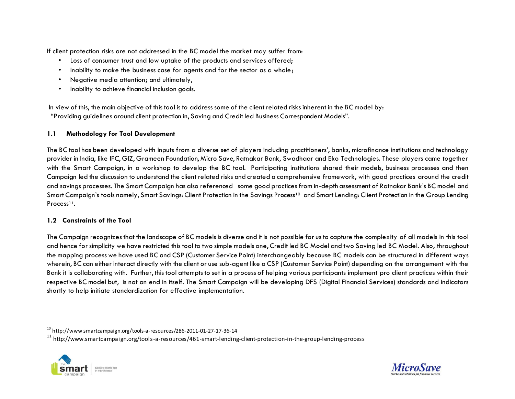If client protection risks are not addressed in the BC model the market may suffer from:

- Loss of consumer trust and low uptake of the products and services offered;
- Inability to make the business case for agents and for the sector as a whole;
- Negative media attention; and ultimately,
- Inability to achieve financial inclusion goals.

In view of this, the main objective of this tool is to address some of the client related risks inherent in the BC model by: "Providing guidelines around client protection in, Saving and Credit led Business Correspondent Models".

#### **1.1 Methodology for Tool Development**

The BC tool has been developed with inputs from a diverse set of players including practitioners', banks, microfinance institutions and technology provider in India, like IFC, GIZ, Grameen Foundation, Micro Save, Ratnakar Bank, Swadhaar and Eko Technologies. These players came together with the Smart Campaign, in a workshop to develop the BC tool. Participating institutions shared their models, business processes and then Campaign led the discussion to understand the client related risks and created a comprehensive framework, with good practices around the credit and savings processes. The Smart Campaign has also referenced some good practices from in-depth assessment of Ratnakar Bank's BC model and Smart Campaign's tools namely, Smart Savings: Client Protection in the Savings Process<sup>10</sup> and Smart Lending: Client Protection in the Group Lending Process<sup>11</sup>.

#### **1.2 Constraints of the Tool**

The Campaign recognizes that the landscape of BC models is diverse and it is not possible for us to capture the complexity of all models in this tool and hence for simplicity we have restricted this tool to two simple models one, Credit led BC Model and two Saving led BC Model. Also, throughout the mapping process we have used BC and CSP (Customer Service Point) interchangeably because BC models can be structured in different ways wherein, BC can either interact directly with the client or use sub-agent like a CSP (Customer Service Point) depending on the arrangement with the Bank it is collaborating with. Further, this tool attempts to set in a process of helping various participants implement pro client practices within their respective BC model but, is not an end in itself. The Smart Campaign will be developing DFS (Digital Financial Services) standards and indicators shortly to help initiate standardization for effective implementation.

<sup>11</sup> http://www.smartcampaign.org/tools-a-resources/461-smart-lending-client-protection-in-the-group-lending-process





 $^{10}$  http://www.smartcampaign.org/tools-a-resources/286-2011-01-27-17-36-14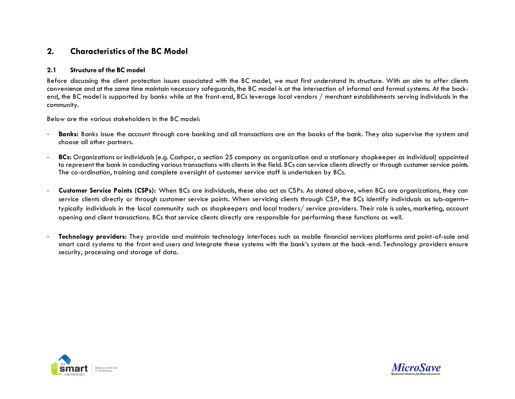## <span id="page-4-0"></span>**2. Characteristics of the BC Model**

#### <span id="page-4-1"></span>**2.1 Structure of the BC model**

Before discussing the client protection issues associated with the BC model, we must first understand its structure. With an aim to offer clients convenience and at the same time maintain necessary safeguards, the BC model is at the intersection of informal and formal systems. At the backend, the BC model is supported by banks while at the front-end, BCs leverage local vendors / merchant establishments serving individuals in the community.

Below are the various stakeholders in the BC model:

- **Banks:** Banks issue the account through core banking and all transactions are on the books of the bank. They also supervise the system and choose all other partners.
- **BCs:** Organizations or individuals (e.g. Cashpor, a section 25 company as organization and a stationary shopkeeper as individual) appointed to represent the bank in conducting various transactions with clients in the field. BCs can service clients directly or through customer service points. The co-ordination, training and complete oversight of customer service staff is undertaken by BCs.
- **Customer Service Points (CSPs):** When BCs are individuals, these also act as CSPs. As stated above, when BCs are organizations, they can service clients directly or through customer service points. When servicing clients through CSP, the BCs identify individuals as sub-agentstypically individuals in the local community such as shopkeepers and local traders/ service providers. Their role is sales, marketing, account opening and client transactions. BCs that service clients directly are responsible for performing these functions as well.
- **Technology providers:** They provide and maintain technology interfaces such as mobile financial services platforms and point-of-sale and smart card systems to the front end users and integrate these systems with the bank's system at the back-end. Technology providers ensure security, processing and storage of data.



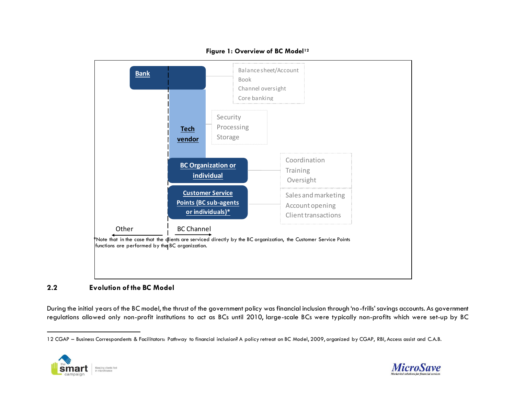

#### **Figure 1: Overview of BC Model<sup>12</sup>**

#### <span id="page-5-0"></span>**2.2 Evolution of the BC Model**

During the initial years of the BC model, the thrust of the government policy was financial inclusion through 'no-frills' savings accounts. As government regulations allowed only non-profit institutions to act as BCs until 2010, large-scale BCs were typically non-profits which were set-up by BC

<sup>12</sup> CGAP – Business Correspondents & Facilitators: Pathway to financial inclusion? A policy retreat on BC Model, 2009, organized by CGAP, RBI, Access assist and C.A.B.



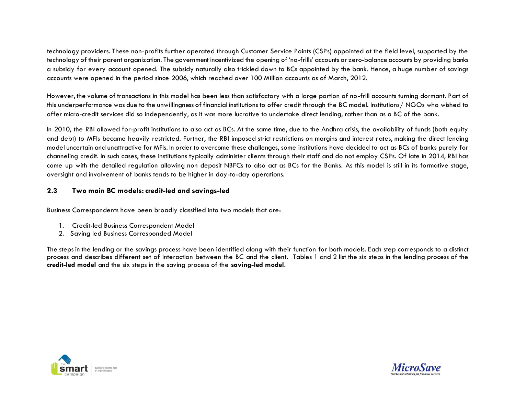technology providers. These non-profits further operated through Customer Service Points (CSPs) appointed at the field level, supported by the technology of their parent organization. The government incentivized the opening of 'no-frills' accounts or zero-balance accounts by providing banks a subsidy for every account opened. The subsidy naturally also trickled down to BCs appointed by the bank. Hence, a huge number of savings accounts were opened in the period since 2006, which reached over 100 Million accounts as of March, 2012.

However, the volume of transactions in this model has been less than satisfactory with a large portion of no-frill accounts turning dormant. Part of this underperformance was due to the unwillingness of financial institutions to offer credit through the BC model. Institutions/ NGOs who wished to offer micro-credit services did so independently, as it was more lucrative to undertake direct lending, rather than as a BC of the bank.

In 2010, the RBI allowed for-profit institutions to also act as BCs. At the same time, due to the Andhra crisis, the availability of funds (both equity and debt) to MFIs became heavily restricted. Further, the RBI imposed strict restrictions on margins and interest rates, making the direct lending model uncertain and unattractive for MFIs. In order to overcome these challenges, some institutions have decided to act as BCs of banks purely for channeling credit. In such cases, these institutions typically administer clients through their staff and do not employ CSPs. Of late in 2014, RBI has come up with the detailed regulation allowing non deposit NBFCs to also act as BCs for the Banks. As this model is still in its formative stage, oversight and involvement of banks tends to be higher in day-to-day operations.

#### <span id="page-6-0"></span>**2.3 Two main BC models: credit-led and savings-led**

Business Correspondents have been broadly classified into two models that are:

- 1. Credit-led Business Correspondent Model
- 2. Saving led Business Corresponded Model

The steps in the lending or the savings process have been identified along with their function for both models. Each step corresponds to a distinct process and describes different set of interaction between the BC and the client. Tables 1 and 2 list the six steps in the lending process of the **credit-led model** and the six steps in the saving process of the **saving-led model**.



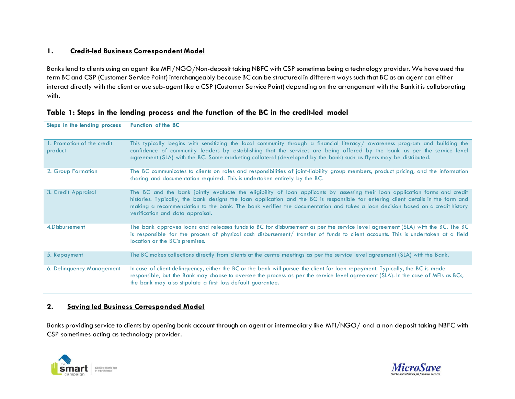#### **1. Credit-led Business Correspondent Model**

Banks lend to clients using an agent like MFI/NGO/Non-deposit taking NBFC with CSP sometimes being a technology provider. We have used the term BC and CSP (Customer Service Point) interchangeably because BC can be structured in different ways such that BC as an agent can either interact directly with the client or use sub-agent like a CSP (Customer Service Point) depending on the arrangement with the Bank it is collaborating with.

| Steps in the lending process          | <b>Function of the BC</b>                                                                                                                                                                                                                                                                                                                                                                                                             |
|---------------------------------------|---------------------------------------------------------------------------------------------------------------------------------------------------------------------------------------------------------------------------------------------------------------------------------------------------------------------------------------------------------------------------------------------------------------------------------------|
| 1. Promotion of the credit<br>product | This typically begins with sensitizing the local community through a financial literacy/awareness program and building the<br>confidence of community leaders by establishing that the services are being offered by the bank as per the service level<br>agreement (SLA) with the BC. Some marketing collateral (developed by the bank) such as flyers may be distributed.                                                           |
| 2. Group Formation                    | The BC communicates to clients on roles and responsibilities of joint-liability group members, product pricing, and the information<br>sharing and documentation required. This is undertaken entirely by the BC.                                                                                                                                                                                                                     |
| 3. Credit Appraisal                   | The BC and the bank jointly evaluate the eligibility of loan applicants by assessing their loan application forms and credit<br>histories. Typically, the bank designs the loan application and the BC is responsible for entering client details in the form and<br>making a recommendation to the bank. The bank verifies the documentation and takes a loan decision based on a credit history<br>verification and data appraisal. |
| 4. Disbursement                       | The bank approves loans and releases funds to BC for disbursement as per the service level agreement (SLA) with the BC. The BC<br>is responsible for the process of physical cash disbursement/ transfer of funds to client accounts. This is undertaken at a field<br>location or the BC's premises.                                                                                                                                 |
| 5. Repayment                          | The BC makes collections directly from clients at the centre meetings as per the service level agreement (SLA) with the Bank.                                                                                                                                                                                                                                                                                                         |
| 6. Delinquency Management             | In case of client delinquency, either the BC or the bank will pursue the client for loan repayment. Typically, the BC is made<br>responsible, but the Bank may choose to oversee the process as per the service level agreement (SLA). In the case of MFIs as BCs,<br>the bank may also stipulate a first loss default guarantee.                                                                                                     |

#### <span id="page-7-0"></span>**Table 1: Steps in the lending process and the function of the BC in the credit-led model**

#### **2. Saving led Business Corresponded Model**

Banks providing service to clients by opening bank account through an agent or intermediary like MFI/NGO/ and a non deposit taking NBFC with CSP sometimes acting as technology provider.



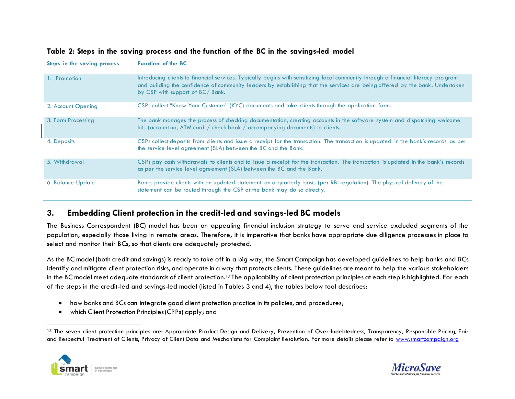| Steps in the saving process | <b>Function of the BC</b>                                                                                                                                                                                                                                                                             |
|-----------------------------|-------------------------------------------------------------------------------------------------------------------------------------------------------------------------------------------------------------------------------------------------------------------------------------------------------|
| 1. Promotion                | Introducing clients to financial services. Typically begins with sensitizing local community through a financial literacy program<br>and building the confidence of community leaders by establishing that the services are being offered by the bank. Undertaken<br>by CSP with support of BC/ Bank. |
| 2. Account Opening          | CSPs collect "Know Your Customer" (KYC) documents and take clients through the application form.                                                                                                                                                                                                      |
| 3. Form Processing          | The bank manages the process of checking documentation, creating accounts in the software system and dispatching welcome<br>kits (account no, ATM card $/$ check book $/$ accompanying documents) to clients.                                                                                         |
| 4. Deposits                 | CSPs collect deposits from clients and issue a receipt for the transaction. The transaction is updated in the bank's records as per<br>the service level agreement (SLA) between the BC and the Bank.                                                                                                 |
| 5. Withdrawal               | CSPs pay cash withdrawals to clients and to issue a receipt for the transaction. The transaction is updated in the bank's records<br>as per the service level agreement (SLA) between the BC and the Bank.                                                                                            |
| 6. Balance Update           | Banks provide clients with an updated statement on a quarterly basis (per RBI regulation). The physical delivery of the<br>statement can be routed through the CSP or the bank may do so directly.                                                                                                    |

#### <span id="page-8-0"></span>**Table 2: Steps in the saving process and the function of the BC in the savings-led model**

### <span id="page-8-1"></span>**3. Embedding Client protection in the credit-led and savings-led BC models**

The Business Correspondent (BC) model has been an appealing financial inclusion strategy to serve and service excluded segments of the population, especially those living in remote areas. Therefore, it is imperative that banks have appropriate due diligence processes in place to select and monitor their BCs, so that clients are adequately protected.

As the BC model (both credit and savings) is ready to take off in a big way, the Smart Campaign has developed guidelines to help banks and BCs identify and mitigate client protection risks, and operate in a way that protects clients. These guidelines are meant to help the various stakeholders in the BC model meet adequate standards of client protection.<sup>13</sup> The applicability of client protection principles at each step is highlighted. For each of the steps in the credit-led and savings-led model (listed in Tables 3 and 4), the tables below tool describes:

- how banks and BCs can integrate good client protection practice in its policies, and procedures;
- which Client Protection Principles (CPPs) apply; and

<sup>&</sup>lt;sup>13</sup> The seven client protection principles are: Appropriate Product Design and Delivery, Prevention of Over-Indebtedness, Transparency, Responsible Pricing, Fair and Respectful Treatment of Clients, Privacy of Client Data and Mechanisms for Complaint Resolution. For more details please refer t[o www.smartcampaign.org](http://www.smartcampaign.org/)



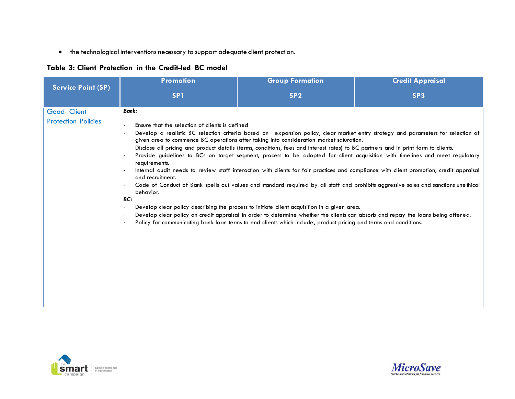the technological interventions necessary to support adequate client protection.

## <span id="page-9-0"></span>**Table 3: Client Protection in the Credit-led BC model**

|                                           | <b>Promotion</b>                                                                                                                                                                                                                                              | <b>Group Formation</b>                                                                                                                                                                                                                                                                                                                                                                                                                           | <b>Credit Appraisal</b>                                                                                                                                                                                                                                                                                                                                                                                                                                                                                                                                                                                                                                                                 |
|-------------------------------------------|---------------------------------------------------------------------------------------------------------------------------------------------------------------------------------------------------------------------------------------------------------------|--------------------------------------------------------------------------------------------------------------------------------------------------------------------------------------------------------------------------------------------------------------------------------------------------------------------------------------------------------------------------------------------------------------------------------------------------|-----------------------------------------------------------------------------------------------------------------------------------------------------------------------------------------------------------------------------------------------------------------------------------------------------------------------------------------------------------------------------------------------------------------------------------------------------------------------------------------------------------------------------------------------------------------------------------------------------------------------------------------------------------------------------------------|
| <b>Service Point (SP)</b>                 | SP <sub>1</sub>                                                                                                                                                                                                                                               | SP <sub>2</sub>                                                                                                                                                                                                                                                                                                                                                                                                                                  | SP <sub>3</sub>                                                                                                                                                                                                                                                                                                                                                                                                                                                                                                                                                                                                                                                                         |
| Good Client<br><b>Protection Policies</b> | Bank:<br>Ensure that the selection of clients is defined<br>$\overline{\phantom{a}}$<br>$\overline{\phantom{a}}$<br>$\overline{\phantom{a}}$<br>$\overline{\phantom{a}}$<br>requirements.<br>and recruitment.<br>behavior.<br>BC:<br>$\overline{\phantom{a}}$ | given area to commence BC operations after taking into consideration market saturation.<br>Disclose all pricing and product details (terms, conditions, fees and interest rates) to BC partners and in print form to clients.<br>Develop clear policy describing the process to initiate client acquisition in a given area.<br>Policy for communicating bank loan terms to end clients which include, product pricing and terms and conditions. | Develop a realistic BC selection criteria based on expansion policy, clear market entry strategy and parameters for selection of<br>Provide guidelines to BCs on target segment, process to be adopted for client acquisition with timelines and meet regulatory<br>Internal audit needs to review staff interaction with clients for fair practices and compliance with client promotion, credit appraisal<br>Code of Conduct of Bank spells out values and standard required by all staff and prohibits aggressive sales and sanctions une thical<br>Develop clear policy on credit appraisal in order to determine whether the clients can absorb and repay the loans being offered. |



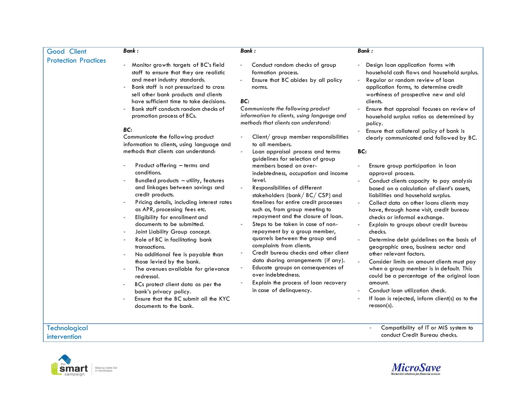| Good Client                          | <b>Bank:</b>                                                                                                                                                                                                                                                                                                                                                                                                                                                                                                                                                                                                                             | <b>Bank:</b>                                                                                                                                                                                                                                                                                                                                                                                                                                                                                                                                                                                                 | <b>Bank:</b>                                                                                                                                                                                                                                                                                                                                                                                                                                                                                                                                                                                                                                                                                                                              |
|--------------------------------------|------------------------------------------------------------------------------------------------------------------------------------------------------------------------------------------------------------------------------------------------------------------------------------------------------------------------------------------------------------------------------------------------------------------------------------------------------------------------------------------------------------------------------------------------------------------------------------------------------------------------------------------|--------------------------------------------------------------------------------------------------------------------------------------------------------------------------------------------------------------------------------------------------------------------------------------------------------------------------------------------------------------------------------------------------------------------------------------------------------------------------------------------------------------------------------------------------------------------------------------------------------------|-------------------------------------------------------------------------------------------------------------------------------------------------------------------------------------------------------------------------------------------------------------------------------------------------------------------------------------------------------------------------------------------------------------------------------------------------------------------------------------------------------------------------------------------------------------------------------------------------------------------------------------------------------------------------------------------------------------------------------------------|
| <b>Protection Practices</b>          | Monitor growth targets of BC's field<br>staff to ensure that they are realistic<br>and meet industry standards.<br>Bank staff is not pressurized to cross<br>sell other bank products and clients<br>have sufficient time to take decisions.<br>Bank staff conducts random checks of                                                                                                                                                                                                                                                                                                                                                     | Conduct random checks of group<br>formation process.<br>Ensure that BC abides by all policy<br>norms.<br>BC:<br>Communicate the following product                                                                                                                                                                                                                                                                                                                                                                                                                                                            | Design loan application forms with<br>household cash flows and household surplus.<br>Regular or random review of loan<br>application forms, to determine credit<br>worthiness of prospective new and old<br>clients.<br>Ensure that appraisal focuses on review of                                                                                                                                                                                                                                                                                                                                                                                                                                                                        |
|                                      | promotion process of BCs.                                                                                                                                                                                                                                                                                                                                                                                                                                                                                                                                                                                                                | information to clients, using language and<br>methods that clients can understand:                                                                                                                                                                                                                                                                                                                                                                                                                                                                                                                           | household surplus ratios as determined by<br>policy.                                                                                                                                                                                                                                                                                                                                                                                                                                                                                                                                                                                                                                                                                      |
|                                      | BC:<br>Communicate the following product<br>information to clients, using language and<br>methods that clients can understand:                                                                                                                                                                                                                                                                                                                                                                                                                                                                                                           | Client/ group member responsibilities<br>to all members.<br>Loan appraisal process and terms:<br>guidelines for selection of group                                                                                                                                                                                                                                                                                                                                                                                                                                                                           | Ensure that collateral policy of bank is<br>clearly communicated and followed by BC.<br>BC:                                                                                                                                                                                                                                                                                                                                                                                                                                                                                                                                                                                                                                               |
|                                      | Product offering - terms and<br>conditions.<br>Bundled products - utility, features<br>and linkages between savings and<br>credit products.<br>Pricing details, including interest rates<br>as APR, processing fees etc.<br>Eligibility for enrollment and<br>documents to be submitted.<br>Joint Liability Group concept.<br>Role of BC in facilitating bank<br>transactions.<br>No additional fee is payable than<br>those levied by the bank.<br>The avenues available for grievance<br>redressal.<br>BCs protect client data as per the<br>bank's privacy policy.<br>Ensure that the BC submit all the KYC<br>documents to the bank. | members based on over-<br>indebtedness, occupation and income<br>level.<br>Responsibilities of different<br>stakeholders (bank/BC/CSP) and<br>timelines for entire credit processes<br>such as, from group meeting to<br>repayment and the closure of loan.<br>Steps to be taken in case of non-<br>repayment by a group member,<br>quarrels between the group and<br>complaints from clients.<br>Credit bureau checks and other client<br>data sharing arrangements (if any).<br>Educate groups on consequences of<br>over indebtedness.<br>Explain the process of loan recovery<br>in case of delinquency. | Ensure group participation in loan<br>approval process.<br>Conduct clients capacity to pay analysis<br>based on a calculation of client's assets,<br>liabilities and household surplus.<br>Collect data on other loans clients may<br>have, through home visit, credit bureau<br>checks or informal exchange.<br>Explain to groups about credit bureau<br>checks.<br>Determine debt guidelines on the basis of<br>geographic area, business sector and<br>other relevant factors.<br>Consider limits on amount clients must pay<br>when a group member is in default. This<br>could be a percentage of the original loan<br>amount.<br>Conduct loan utilization check.<br>If loan is rejected, inform client(s) as to the<br>$reach(s)$ . |
| <b>Technological</b><br>intervention |                                                                                                                                                                                                                                                                                                                                                                                                                                                                                                                                                                                                                                          |                                                                                                                                                                                                                                                                                                                                                                                                                                                                                                                                                                                                              | Compatibility of IT or MIS system to<br>conduct Credit Bureau checks.                                                                                                                                                                                                                                                                                                                                                                                                                                                                                                                                                                                                                                                                     |



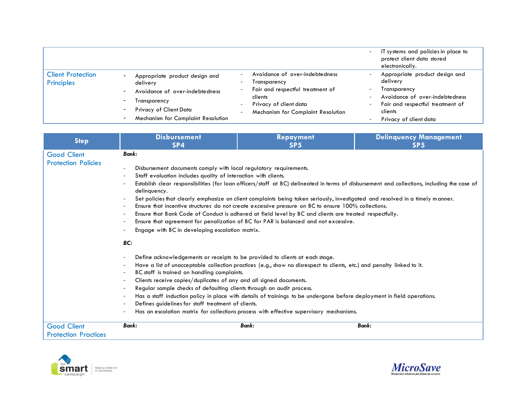|                                        |                                                                                                                                                                                                                      |                                                                                                                                                                                                                                                                                                           | IT systems and policies in place to<br>$\overline{\phantom{a}}$<br>protect client data stored<br>electronically.                                                                                                                                                                      |
|----------------------------------------|----------------------------------------------------------------------------------------------------------------------------------------------------------------------------------------------------------------------|-----------------------------------------------------------------------------------------------------------------------------------------------------------------------------------------------------------------------------------------------------------------------------------------------------------|---------------------------------------------------------------------------------------------------------------------------------------------------------------------------------------------------------------------------------------------------------------------------------------|
| <b>Client Protection</b><br>Principles | Appropriate product design and<br>delivery<br>Avoidance of over-indebtedness<br>Transparency<br>$\overline{\phantom{a}}$<br>Privacy of Client Data<br>$\overline{\phantom{a}}$<br>Mechanism for Complaint Resolution | Avoidance of over-indebtedness<br>$\overline{\phantom{a}}$<br>Transparency<br>$\overline{\phantom{0}}$<br>Fair and respectful treatment of<br>$\overline{\phantom{0}}$<br>clients<br>Privacy of client data<br>$\overline{\phantom{a}}$<br>Mechanism for Complaint Resolution<br>$\overline{\phantom{a}}$ | Appropriate product design and<br>delivery<br>Transparency<br>$\overline{\phantom{a}}$<br>Avoidance of over-indebtedness<br>$\overline{\phantom{0}}$<br>Fair and respectful treatment of<br>$\overline{\phantom{a}}$<br>clients<br>Privacy of client data<br>$\overline{\phantom{0}}$ |

| <b>Step</b>                                       | <b>Disbursement</b><br>SP4                                                                                                                                                                                                                                                                                                                                                                                                                                                                                                                                                                                                                                                                                                                                                                                                                                                     | Repayment<br>SP <sub>5</sub>                                                                                                                                                                                                                                                                                                                                                                                                                                                                                                                                                                                                                                                                                                                                                         | <b>Delinquency Management</b><br>SP <sub>5</sub>                                                                                            |
|---------------------------------------------------|--------------------------------------------------------------------------------------------------------------------------------------------------------------------------------------------------------------------------------------------------------------------------------------------------------------------------------------------------------------------------------------------------------------------------------------------------------------------------------------------------------------------------------------------------------------------------------------------------------------------------------------------------------------------------------------------------------------------------------------------------------------------------------------------------------------------------------------------------------------------------------|--------------------------------------------------------------------------------------------------------------------------------------------------------------------------------------------------------------------------------------------------------------------------------------------------------------------------------------------------------------------------------------------------------------------------------------------------------------------------------------------------------------------------------------------------------------------------------------------------------------------------------------------------------------------------------------------------------------------------------------------------------------------------------------|---------------------------------------------------------------------------------------------------------------------------------------------|
| <b>Good Client</b><br><b>Protection Policies</b>  | Bank:<br>Disbursement documents comply with local regulatory requirements.<br>$\overline{\phantom{a}}$<br>Staff evaluation includes quality of interaction with clients.<br>$\overline{\phantom{a}}$<br>delinquency.<br>$\overline{\phantom{a}}$<br>$\overline{\phantom{a}}$<br>$\overline{\phantom{a}}$<br>Engage with BC in developing escalation matrix.<br>BC:<br>Define acknowledgements or receipts to be provided to clients at each stage.<br>$\overline{\phantom{a}}$<br>$\overline{\phantom{a}}$<br>BC staff is trained on handling complaints.<br>$\overline{\phantom{a}}$<br>Clients receive copies/duplicates of any and all signed documents.<br>$\overline{\phantom{a}}$<br>Regular sample checks of defaulting clients through an audit process.<br>$\overline{\phantom{a}}$<br>Defines quidelines for staff treatment of clients.<br>$\overline{\phantom{a}}$ | Set policies that clearly emphasize on client complaints being taken seriously, investigated and resolved in a timely manner.<br>Ensure that incentive structures do not create excessive pressure on BC to ensure 100% collections.<br>Ensure that Bank Code of Conduct is adhered at field level by BC and clients are treated respectfully.<br>Ensure that agreement for penalization of BC for PAR is balanced and not excessive.<br>Have a list of unacceptable collection practices (e.g., show no disrespect to clients, etc.) and penalty linked to it.<br>Has a staff induction policy in place with details of trainings to be undergone before deployment in field operations.<br>Has an escalation matrix for collections process with effective supervisory mechanisms. | Establish clear responsibilities (for loan officers/staff at BC) delineated in terms of disbursement and collections, including the case of |
| <b>Good Client</b><br><b>Protection Practices</b> | Bank:                                                                                                                                                                                                                                                                                                                                                                                                                                                                                                                                                                                                                                                                                                                                                                                                                                                                          | Bank:                                                                                                                                                                                                                                                                                                                                                                                                                                                                                                                                                                                                                                                                                                                                                                                | Bank:                                                                                                                                       |



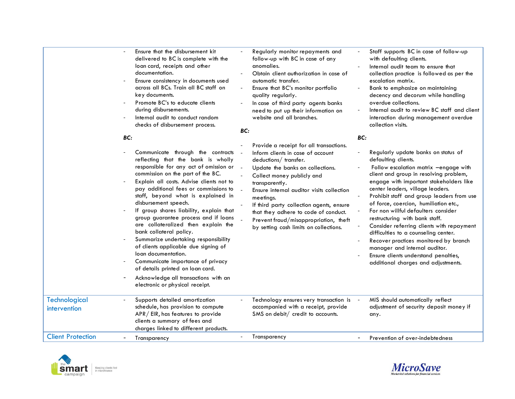| Technological            | Ensure that the disbursement kit<br>delivered to BC is complete with the<br>loan card, receipts and other<br>documentation.<br>Ensure consistency in documents used<br>across all BCs. Train all BC staff on<br>key documents.<br>Promote BC's to educate clients<br>during disbursements.<br>Internal audit to conduct random<br>checks of disbursement process.<br>BC:<br>Communicate through the contracts<br>reflecting that the bank is wholly<br>responsible for any act of omission or<br>commission on the part of the BC.<br>Explain all costs. Advise clients not to<br>pay additional fees or commissions to<br>staff, beyond what is explained in<br>disbursement speech.<br>If group shares liability, explain that<br>group guarantee process and if loans<br>are collateralized then explain the<br>bank collateral policy.<br>Summarize undertaking responsibility<br>of clients applicable due signing of<br>loan documentation.<br>Communicate importance of privacy<br>of details printed on loan card.<br>Acknowledge all transactions with an<br>electronic or physical receipt.<br>Supports detailed amortization | BC:<br>$\sim$ | Regularly monitor repayments and<br>follow-up with BC in case of any<br>anomalies.<br>Obtain client authorization in case of<br>automatic transfer.<br>Ensure that BC's monitor portfolio<br>quality regularly.<br>In case of third party agents banks<br>need to put up their information on<br>website and all branches.<br>Provide a receipt for all transactions.<br>Inform clients in case of account<br>deductions/ transfer.<br>Update the banks on collections.<br>Collect money publicly and<br>transparently.<br>Ensure internal auditor visits collection<br>meetings.<br>If third party collection agents, ensure<br>that they adhere to code of conduct.<br>Prevent fraud/misappropriation, theft<br>by setting cash limits on collections.<br>Technology ensures very transaction is | BC: | Staff supports BC in case of follow-up<br>with defaulting clients.<br>Internal audit team to ensure that<br>collection practice is followed as per the<br>escalation matrix.<br>Bank to emphasize on maintaining<br>decency and decorum while handling<br>overdue collections.<br>Internal audit to review BC staff and client<br>interaction during management overdue<br>collection visits.<br>Regularly update banks on status of<br>defaulting clients.<br>Follow escalation matrix -engage with<br>client and group in resolving problem,<br>engage with important stakeholders like<br>center leaders, village leaders.<br>Prohibit staff and group leaders from use<br>of force, coercion, humiliation etc.,<br>For non willful defaulters consider<br>restructuring with bank staff.<br>Consider referring clients with repayment<br>difficulties to a counseling center.<br>Recover practices monitored by branch<br>manager and internal auditor.<br>Ensure clients understand penalties,<br>additional charges and adjustments.<br>MIS should automatically reflect |
|--------------------------|-----------------------------------------------------------------------------------------------------------------------------------------------------------------------------------------------------------------------------------------------------------------------------------------------------------------------------------------------------------------------------------------------------------------------------------------------------------------------------------------------------------------------------------------------------------------------------------------------------------------------------------------------------------------------------------------------------------------------------------------------------------------------------------------------------------------------------------------------------------------------------------------------------------------------------------------------------------------------------------------------------------------------------------------------------------------------------------------------------------------------------------------|---------------|----------------------------------------------------------------------------------------------------------------------------------------------------------------------------------------------------------------------------------------------------------------------------------------------------------------------------------------------------------------------------------------------------------------------------------------------------------------------------------------------------------------------------------------------------------------------------------------------------------------------------------------------------------------------------------------------------------------------------------------------------------------------------------------------------|-----|--------------------------------------------------------------------------------------------------------------------------------------------------------------------------------------------------------------------------------------------------------------------------------------------------------------------------------------------------------------------------------------------------------------------------------------------------------------------------------------------------------------------------------------------------------------------------------------------------------------------------------------------------------------------------------------------------------------------------------------------------------------------------------------------------------------------------------------------------------------------------------------------------------------------------------------------------------------------------------------------------------------------------------------------------------------------------------|
| intervention             | schedule, has provision to compute<br>APR/EIR, has features to provide<br>clients a summary of fees and<br>charges linked to different products.                                                                                                                                                                                                                                                                                                                                                                                                                                                                                                                                                                                                                                                                                                                                                                                                                                                                                                                                                                                        |               | accompanied with a receipt, provide<br>SMS on debit/ credit to accounts.                                                                                                                                                                                                                                                                                                                                                                                                                                                                                                                                                                                                                                                                                                                           |     | adjustment of security deposit money if<br>any.                                                                                                                                                                                                                                                                                                                                                                                                                                                                                                                                                                                                                                                                                                                                                                                                                                                                                                                                                                                                                                |
| <b>Client Protection</b> | Transparency                                                                                                                                                                                                                                                                                                                                                                                                                                                                                                                                                                                                                                                                                                                                                                                                                                                                                                                                                                                                                                                                                                                            |               | Transparency                                                                                                                                                                                                                                                                                                                                                                                                                                                                                                                                                                                                                                                                                                                                                                                       |     | Prevention of over-indebtedness                                                                                                                                                                                                                                                                                                                                                                                                                                                                                                                                                                                                                                                                                                                                                                                                                                                                                                                                                                                                                                                |
|                          |                                                                                                                                                                                                                                                                                                                                                                                                                                                                                                                                                                                                                                                                                                                                                                                                                                                                                                                                                                                                                                                                                                                                         |               |                                                                                                                                                                                                                                                                                                                                                                                                                                                                                                                                                                                                                                                                                                                                                                                                    |     |                                                                                                                                                                                                                                                                                                                                                                                                                                                                                                                                                                                                                                                                                                                                                                                                                                                                                                                                                                                                                                                                                |



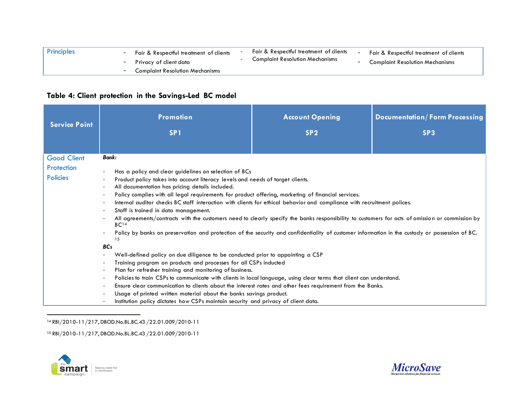| Principles | Fair & Respectful treatment of clients<br>- Privacy of client data | Fair & Respectful treatment of clients<br><b>Complaint Resolution Mechanisms</b> | Fair & Respectful treatment of clients<br>- Complaint Resolution Mechanisms |
|------------|--------------------------------------------------------------------|----------------------------------------------------------------------------------|-----------------------------------------------------------------------------|
|            | - Complaint Resolution Mechanisms                                  |                                                                                  |                                                                             |

#### <span id="page-13-0"></span>**Table 4: Client protection in the Savings-Led BC model**

| <b>Service Point</b>                                | <b>Promotion</b><br>SP <sub>1</sub>                                                                                                                                                                                                                                                                                                                                                                                                                                                                                                                                                                                                                                                                                                                                                                                                                                                                                                                                                                                                                                                                                                                                                                                                                                            | <b>Account Opening</b><br>SP <sub>2</sub> | <b>Documentation/Form Processing</b><br>SP <sub>3</sub> |
|-----------------------------------------------------|--------------------------------------------------------------------------------------------------------------------------------------------------------------------------------------------------------------------------------------------------------------------------------------------------------------------------------------------------------------------------------------------------------------------------------------------------------------------------------------------------------------------------------------------------------------------------------------------------------------------------------------------------------------------------------------------------------------------------------------------------------------------------------------------------------------------------------------------------------------------------------------------------------------------------------------------------------------------------------------------------------------------------------------------------------------------------------------------------------------------------------------------------------------------------------------------------------------------------------------------------------------------------------|-------------------------------------------|---------------------------------------------------------|
| <b>Good Client</b><br>Protection<br><b>Policies</b> | Bank:<br>Has a policy and clear guidelines on selection of BCs<br>Product policy takes into account literacy levels and needs of target clients.<br>All documentation has pricing details included.<br>Policy complies with all legal requirements for product offering, marketing of financial services.<br>Internal auditor checks BC staff interaction with clients for ethical behavior and compliance with recruitment polices.<br>Staff is trained in data management.<br>All agreements/contracts with the customers need to clearly specify the banks responsibility to customers for acts of omission or commission by<br>BC <sup>14</sup><br>Policy by banks on preservation and protection of the security and confidentiality of customer information in the custody or possession of BC.<br>15<br><b>BCs</b><br>Well-defined policy on due diligence to be conducted prior to appointing a CSP<br>Training program on products and processes for all CSPs inducted<br>Plan for refresher training and monitoring of business.<br>Policies to train CSPs to communicate with clients in local language, using clear terms that client can understand.<br>Ensure clear communication to clients about the interest rates and other fees requirement from the Banks. |                                           |                                                         |
|                                                     | Usage of printed written material about the banks savings product.<br>Institution policy dictates how CSPs maintain security and privacy of client data.                                                                                                                                                                                                                                                                                                                                                                                                                                                                                                                                                                                                                                                                                                                                                                                                                                                                                                                                                                                                                                                                                                                       |                                           |                                                         |

 $\overline{a}$ <sup>14</sup> RBI/2010-11/217, DBOD.No.BL.BC.43 /22.01.009/2010-11

<sup>15</sup> RBI/2010-11/217, DBOD.No.BL.BC.43 /22.01.009/2010-11



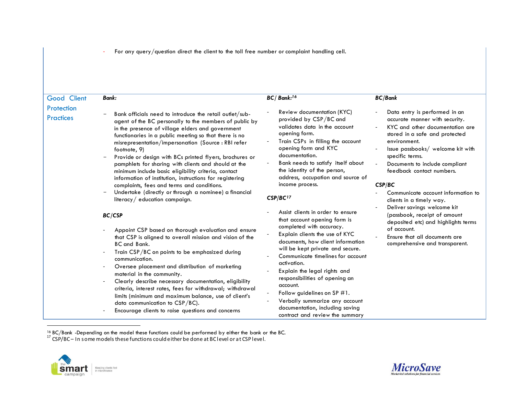- For any query/question direct the client to the toll free number or complaint handling cell.

| Good Client                    | <b>Bank:</b>                                                                                                                                                                                                                                                                                                                                                                                                                                                                                                                                                        | BC/Bank: <sup>16</sup>                                                                                                                                                                                                                                                                                                                                                      | <b>BC/Bank</b>                                                                                                                                                                                                                                                              |
|--------------------------------|---------------------------------------------------------------------------------------------------------------------------------------------------------------------------------------------------------------------------------------------------------------------------------------------------------------------------------------------------------------------------------------------------------------------------------------------------------------------------------------------------------------------------------------------------------------------|-----------------------------------------------------------------------------------------------------------------------------------------------------------------------------------------------------------------------------------------------------------------------------------------------------------------------------------------------------------------------------|-----------------------------------------------------------------------------------------------------------------------------------------------------------------------------------------------------------------------------------------------------------------------------|
| Protection<br><b>Practices</b> | Bank officials need to introduce the retail outlet/sub-<br>agent of the BC personally to the members of public by<br>in the presence of village elders and government<br>functionaries in a public meeting so that there is no<br>misrepresentation/impersonation (Source: RBI refer<br>footnote, 9)<br>Provide or design with BCs printed flyers, brochures or<br>pamphlets for sharing with clients and should at the<br>minimum include basic eligibility criteria, contact<br>information of institution, instructions for registering                          | Review documentation (KYC)<br>provided by CSP/BC and<br>validates data in the account<br>opening form.<br>Train CSPs in filling the account<br>opening form and KYC<br>documentation.<br>Bank needs to satisfy itself about<br>the identity of the person,<br>address, occupation and source of                                                                             | Data entry is performed in an<br>accurate manner with security.<br>KYC and other documentation are<br>stored in a safe and protected<br>environment.<br>Issue passbooks/ welcome kit with<br>specific terms.<br>Documents to include compliant<br>feedback contact numbers. |
|                                | complaints, fees and terms and conditions.<br>Undertake (directly or through a nominee) a financial<br>literacy / education campaign.<br><b>BC/CSP</b>                                                                                                                                                                                                                                                                                                                                                                                                              | income process.<br>CSP/BC <sup>17</sup>                                                                                                                                                                                                                                                                                                                                     | CSP/BC<br>Communicate account information to<br>clients in a timely way.                                                                                                                                                                                                    |
|                                |                                                                                                                                                                                                                                                                                                                                                                                                                                                                                                                                                                     | Assist clients in order to ensure<br>that account opening form is                                                                                                                                                                                                                                                                                                           | Deliver savings welcome kit<br>(passbook, receipt of amount<br>deposited etc) and highlights terms                                                                                                                                                                          |
|                                | Appoint CSP based on thorough evaluation and ensure<br>that CSP is aligned to overall mission and vision of the<br><b>BC</b> and Bank.<br>Train CSP/BC on points to be emphasized during<br>communication.<br>Oversee placement and distribution of marketing<br>material in the community.<br>Clearly describe necessary documentation, eligibility<br>criteria, interest rates, fees for withdrawal; withdrawal<br>limits (minimum and maximum balance, use of client's<br>data communication to $CSP/BC$ ).<br>Encourage clients to raise questions and concerns | completed with accuracy.<br>Explain clients the use of KYC<br>documents, how client information<br>will be kept private and secure.<br>Communicate timelines for account<br>activation.<br>Explain the legal rights and<br>responsibilities of opening an<br>account.<br>Follow guidelines on $SP#1$ .<br>Verbally summarize any account<br>documentation, including saving | of account.<br>Ensure that all documents are<br>comprehensive and transparent.                                                                                                                                                                                              |

<sup>&</sup>lt;sup>16</sup> BC/Bank -Depending on the model these functions could be performed by either the bank or the BC.

 $17$  CSP/BC – In some models these functions could either be done at BC level or at CSP level.



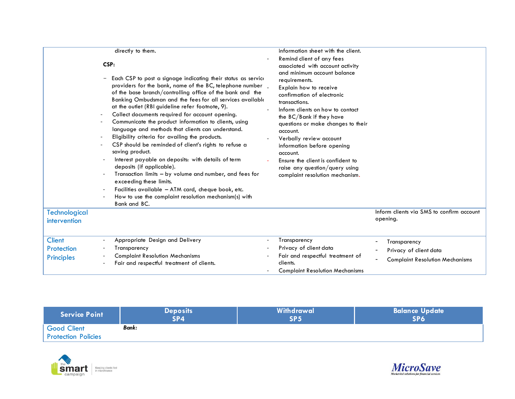|                                                  | directly to them.<br>CSP:<br>Each CSP to post a signage indicating their status as service<br>providers for the bank, name of the BC, telephone number _<br>of the base branch/controlling office of the bank and the<br>Banking Ombudsman and the fees for all services available<br>at the outlet (RBI guideline refer footnote, 9).<br>Collect documents required for account opening.<br>Communicate the product information to clients, using<br>language and methods that clients can understand.<br>Eligibility criteria for availing the products.<br>CSP should be reminded of client's rights to refuse a<br>saving product.<br>Interest payable on deposits: with details of term<br>deposits (if applicable).<br>Transaction limits – by volume and number, and fees for | information sheet with the client.<br>Remind client of any fees<br>associated with account activity<br>and minimum account balance<br>requirements.<br>Explain how to receive<br>confirmation of electronic<br>transactions.<br>Inform clients on how to contact<br>the BC/Bank if they have<br>questions or make changes to their<br>account.<br>Verbally review account<br>information before opening<br>account.<br>Ensure the client is confident to<br>raise any question/query using<br>complaint resolution mechanism. |                                                                                  |
|--------------------------------------------------|--------------------------------------------------------------------------------------------------------------------------------------------------------------------------------------------------------------------------------------------------------------------------------------------------------------------------------------------------------------------------------------------------------------------------------------------------------------------------------------------------------------------------------------------------------------------------------------------------------------------------------------------------------------------------------------------------------------------------------------------------------------------------------------|-------------------------------------------------------------------------------------------------------------------------------------------------------------------------------------------------------------------------------------------------------------------------------------------------------------------------------------------------------------------------------------------------------------------------------------------------------------------------------------------------------------------------------|----------------------------------------------------------------------------------|
|                                                  | exceeding these limits.<br>Facilities available - ATM card, cheque book, etc.<br>How to use the complaint resolution mechanism(s) with<br>Bank and BC.                                                                                                                                                                                                                                                                                                                                                                                                                                                                                                                                                                                                                               |                                                                                                                                                                                                                                                                                                                                                                                                                                                                                                                               |                                                                                  |
| <b>Technological</b><br>intervention             |                                                                                                                                                                                                                                                                                                                                                                                                                                                                                                                                                                                                                                                                                                                                                                                      |                                                                                                                                                                                                                                                                                                                                                                                                                                                                                                                               | Inform clients via SMS to confirm account<br>opening.                            |
| <b>Client</b><br>Protection<br><b>Principles</b> | Appropriate Design and Delivery<br>Transparency<br><b>Complaint Resolution Mechanisms</b><br>Fair and respectful treatment of clients.                                                                                                                                                                                                                                                                                                                                                                                                                                                                                                                                                                                                                                               | Transparency<br>Privacy of client data<br>Fair and respectful treatment of<br>clients.<br><b>Complaint Resolution Mechanisms</b>                                                                                                                                                                                                                                                                                                                                                                                              | Transparency<br>Privacy of client data<br><b>Complaint Resolution Mechanisms</b> |

| <b>Service Point</b>                             | <b>Deposits</b> | Withdrawal      | <b>Balance Update</b> |
|--------------------------------------------------|-----------------|-----------------|-----------------------|
|                                                  | SP4             | SP <sub>5</sub> | <b>SP6</b>            |
| <b>Good Client</b><br><b>Protection Policies</b> | Bank:           |                 |                       |



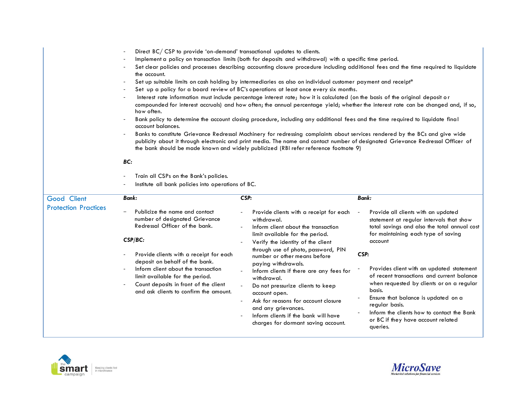|                                            | Direct BC/CSP to provide 'on-demand' transactional updates to clients.<br>Implement a policy on transaction limits (both for deposits and withdrawal) with a specific time period.<br>Set clear policies and processes describing accounting closure procedure including additional fees and the time required to liquidate<br>the account.<br>Set up suitable limits on cash holding by intermediaries as also on individual customer payment and receipt*<br>Set up a policy for a board review of BC's operations at least once every six months.<br>Interest rate information must include percentage interest rate; how it is calculated (on the basis of the original deposit or<br>compounded for interest accruals) and how often; the annual percentage yield; whether the interest rate can be changed and, if so,<br>how often.<br>Bank policy to determine the account closing procedure, including any additional fees and the time required to liquidate final<br>account balances.<br>Banks to constitute Grievance Redressal Machinery for redressing complaints about services rendered by the BCs and give wide<br>publicity about it through electronic and print media. The name and contact number of designated Grievance Redressal Officer of<br>the bank should be made known and widely publicized (RBI refer reference footnote 9)<br>BC:<br>Train all CSPs on the Bank's policies.<br>Institute all bank policies into operations of BC. |                                                                                                                                                                                                                                                                                                                                                                                              |                                                                                                                                                                                                                                                                                                                                                             |  |
|--------------------------------------------|---------------------------------------------------------------------------------------------------------------------------------------------------------------------------------------------------------------------------------------------------------------------------------------------------------------------------------------------------------------------------------------------------------------------------------------------------------------------------------------------------------------------------------------------------------------------------------------------------------------------------------------------------------------------------------------------------------------------------------------------------------------------------------------------------------------------------------------------------------------------------------------------------------------------------------------------------------------------------------------------------------------------------------------------------------------------------------------------------------------------------------------------------------------------------------------------------------------------------------------------------------------------------------------------------------------------------------------------------------------------------------------------------------------------------------------------------------------------|----------------------------------------------------------------------------------------------------------------------------------------------------------------------------------------------------------------------------------------------------------------------------------------------------------------------------------------------------------------------------------------------|-------------------------------------------------------------------------------------------------------------------------------------------------------------------------------------------------------------------------------------------------------------------------------------------------------------------------------------------------------------|--|
| Good Client<br><b>Protection Practices</b> | Bank:<br>Publicize the name and contact<br>number of designated Grievance<br>Redressal Officer of the bank.<br>CSP/BC:<br>Provide clients with a receipt for each<br>deposit on behalf of the bank.<br>Inform client about the transaction<br>limit available for the period.<br>Count deposits in front of the client                                                                                                                                                                                                                                                                                                                                                                                                                                                                                                                                                                                                                                                                                                                                                                                                                                                                                                                                                                                                                                                                                                                                              | CSP:<br>Provide clients with a receipt for each<br>withdrawal.<br>Inform client about the transaction<br>limit available for the period.<br>Verify the identity of the client<br>through use of photo, password, PIN<br>number or other means before<br>paying withdrawals.<br>Inform clients if there are any fees for<br>withdrawal.<br>Do not pressurize clients to keep<br>account open. | <b>Bank:</b><br>Provide all clients with an updated<br>statement at regular intervals that show<br>total savings and also the total annual cost<br>for maintaining each type of saving<br>account<br>CSP:<br>Provides client with an updated statement<br>of recent transactions and current balance<br>when requested by clients or on a regular<br>basis. |  |



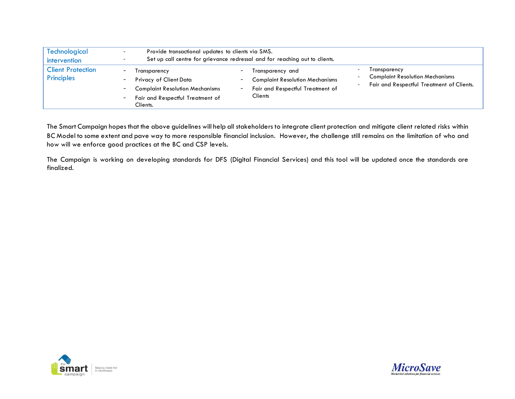| Technological<br>intervention          |                                                                                                                                                                                 | Provide transactional updates to clients via SMS.<br>Set up call centre for grievance redressal and for reaching out to clients.      |                                                                                                     |  |  |
|----------------------------------------|---------------------------------------------------------------------------------------------------------------------------------------------------------------------------------|---------------------------------------------------------------------------------------------------------------------------------------|-----------------------------------------------------------------------------------------------------|--|--|
| <b>Client Protection</b><br>Principles | $\blacksquare$<br>Transparency<br>Privacy of Client Data<br>۰<br><b>Complaint Resolution Mechanisms</b><br>$\sim 100$<br>Fair and Respectful Treatment of<br>$\sim$<br>Clients. | Transparency and<br><b>Complaint Resolution Mechanisms</b><br>Fair and Respectful Treatment of<br>$\overline{\phantom{a}}$<br>Clients | Transparency<br><b>Complaint Resolution Mechanisms</b><br>Fair and Respectful Treatment of Clients. |  |  |

The Smart Campaign hopes that the above guidelines will help all stakeholders to integrate client protection and mitigate client related risks within BC Model to some extent and pave way to more responsible financial inclusion. However, the challenge still remains on the limitation of who and how will we enforce good practices at the BC and CSP levels.

The Campaign is working on developing standards for DFS (Digital Financial Services) and this tool will be updated once the standards are finalized.